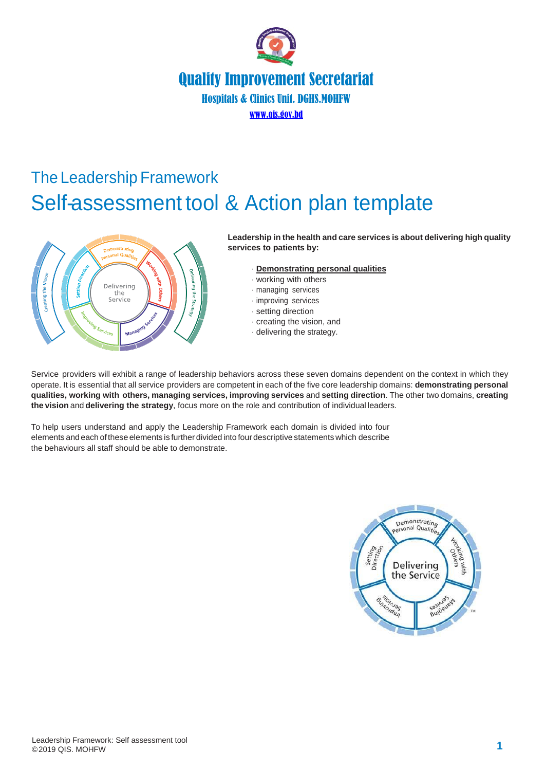

# The Leadership Framework Self-assessment tool & Action plan template



**Leadership in the health and care services is about delivering high quality services to patients by:**

- · **Demonstrating personal qualities**
- · working with others
- · managing services
- · improving services
- · setting direction
- · creating the vision, and
- · delivering the strategy.

Service providers will exhibit a range of leadership behaviors across these seven domains dependent on the context in which they operate. It is essential that all service providers are competent in each of the five core leadership domains: **demonstrating personal qualities, working with others, managing services, improving services** and **setting direction**. The other two domains, **creating the vision** and **delivering the strategy**, focus more on the role and contribution of individual leaders.

To help users understand and apply the Leadership Framework each domain is divided into four elements and each ofthese elements is further divided into fourdescriptive statements which describe the behaviours all staff should be able to demonstrate.

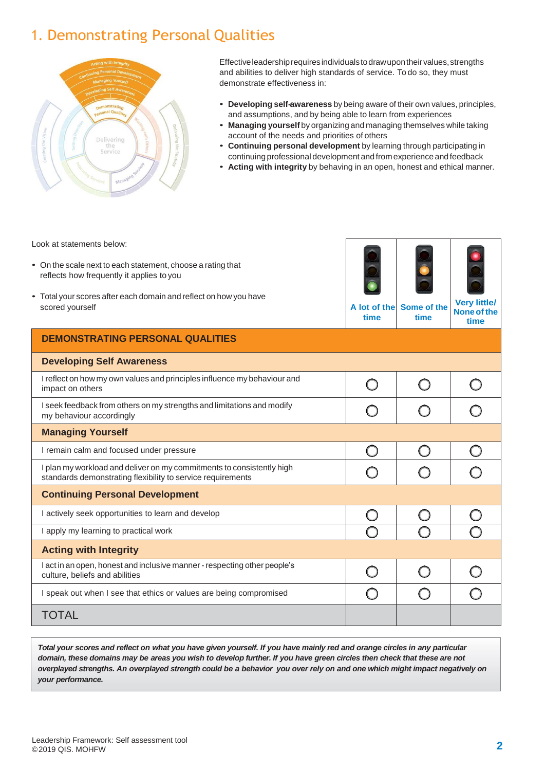## 1. Demonstrating Personal Qualities



Effective leadership requires individuals to draw upon their values, strengths and abilities to deliver high standards of service. To do so, they must demonstrate effectiveness in:

- **Developing self-awareness** by being aware of their own values, principles, and assumptions, and by being able to learn from experiences
- **Managing yourself** by organizing and managing themselves while taking account of the needs and priorities of others
- **Continuing personal development** by learning through participating in continuing professional development and from experience andfeedback
- **Acting with integrity** by behaving in an open, honest and ethical manner.

Look at statements below:

- On the scale next to each statement, choose a rating that reflects how frequently it applies to you
- Total your scores after each domain and reflect on how you have scored yourself **A** lot of the **A** lot of the **A** lot of the **A** lot of the **A** lot of the **A** lot of the **A** lot of the **A**



**time Some of time**

| f the $\sqrt{\frac{v_{\text{eq}}}{N}}$ None of the |
|----------------------------------------------------|
|                                                    |
| time                                               |

|                                                                                                                                      |  | time |
|--------------------------------------------------------------------------------------------------------------------------------------|--|------|
| <b>DEMONSTRATING PERSONAL QUALITIES</b>                                                                                              |  |      |
| <b>Developing Self Awareness</b>                                                                                                     |  |      |
| I reflect on how my own values and principles influence my behaviour and<br>impact on others                                         |  |      |
| I seek feedback from others on my strengths and limitations and modify<br>my behaviour accordingly                                   |  |      |
| <b>Managing Yourself</b>                                                                                                             |  |      |
| I remain calm and focused under pressure                                                                                             |  |      |
| I plan my workload and deliver on my commitments to consistently high<br>standards demonstrating flexibility to service requirements |  |      |
| <b>Continuing Personal Development</b>                                                                                               |  |      |
| I actively seek opportunities to learn and develop                                                                                   |  |      |
| I apply my learning to practical work                                                                                                |  |      |
| <b>Acting with Integrity</b>                                                                                                         |  |      |
| I act in an open, honest and inclusive manner - respecting other people's<br>culture, beliefs and abilities                          |  |      |
| I speak out when I see that ethics or values are being compromised                                                                   |  |      |
| TOTAL                                                                                                                                |  |      |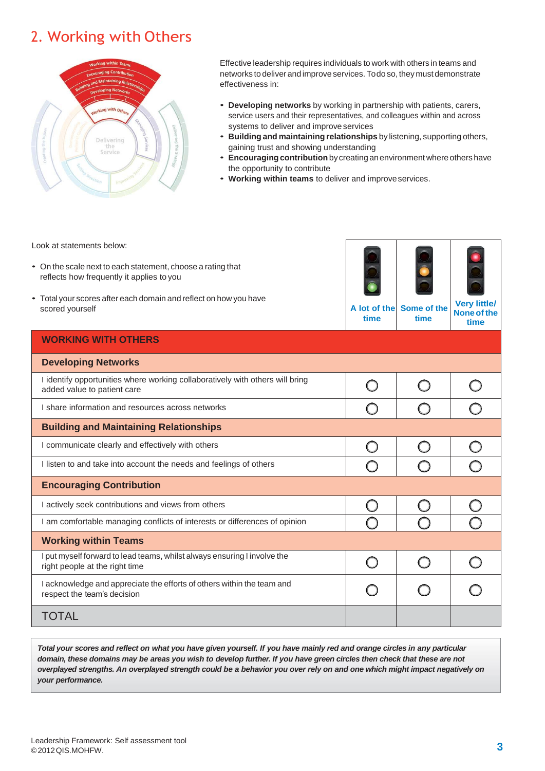## 2. Working with Others



Effective leadership requires individuals to work with others in teams and networks to deliver and improve services. Todoso, they must demonstrate effectiveness in:

- **Developing networks** by working in partnership with patients, carers, service users and their representatives, and colleagues within and across systems to deliver and improve services
- **Building and maintaining relationships** by listening, supporting others, gaining trust and showing understanding
- **Encouragingcontribution**by creating anenvironment where others have the opportunity to contribute
- **Working within teams** to deliver and improveservices.

Look at statements below:

- On the scale next to each statement, choose a rating that reflects how frequently it applies to you
- Total your scores after each domain and reflect on how you have scored yourself **A** lot of the **A** lot of the **A** lot of the **A**



**time Some of the time None of the time**

#### **WORKING WITH OTHERS**

| <b>Developing Networks</b>                                                                                   |  |  |
|--------------------------------------------------------------------------------------------------------------|--|--|
| I identify opportunities where working collaboratively with others will bring<br>added value to patient care |  |  |
| I share information and resources across networks                                                            |  |  |
| <b>Building and Maintaining Relationships</b>                                                                |  |  |
| I communicate clearly and effectively with others                                                            |  |  |
| I listen to and take into account the needs and feelings of others                                           |  |  |
| <b>Encouraging Contribution</b>                                                                              |  |  |
| I actively seek contributions and views from others                                                          |  |  |
| I am comfortable managing conflicts of interests or differences of opinion                                   |  |  |
| <b>Working within Teams</b>                                                                                  |  |  |
| I put myself forward to lead teams, whilst always ensuring I involve the<br>right people at the right time   |  |  |
| I acknowledge and appreciate the efforts of others within the team and<br>respect the team's decision        |  |  |
| TOTAL                                                                                                        |  |  |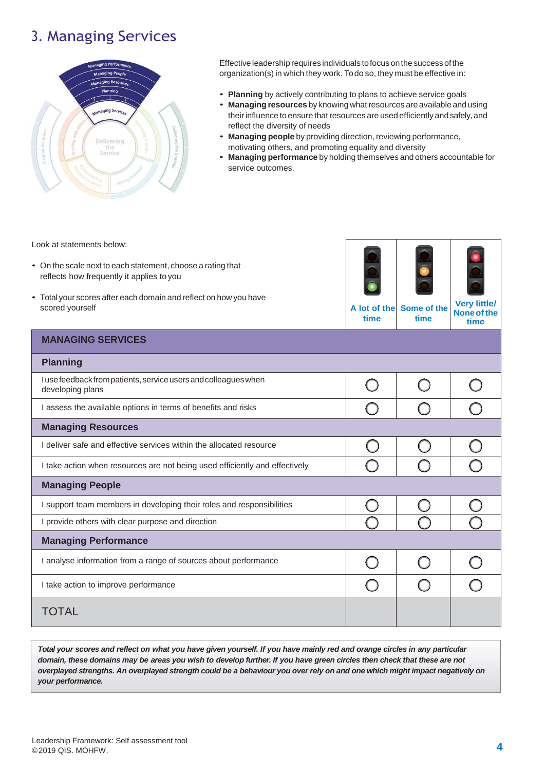### 3. Managing Services



Effective leadership requires individuals to focus on the success of the organization(s) in which they work. Todo so, they must be effective in:

- **Planning** by actively contributing to plans to achieve service goals
- **Managing resources** by knowing what resources are available and using their influence to ensure that resources are used efficiently and safely, and reflect the diversity of needs
- **Managing people** by providing direction, reviewing performance, motivating others, and promoting equality and diversity
- **Managing performance** by holding themselves and others accountable for service outcomes.

Look at statements below:

- On the scale next to each statement, choose a rating that reflects how frequently it applies to you
- Total your scores after each domain and reflect on how you have scored yourself **A** lot of the **A** lot of the **A** lot of the **A** lot of the **A** lot of the **A** lot of the **A** lot of the **A**



**time Some of the time Noneofthe**

|                                                                                     | ume | ume | time |
|-------------------------------------------------------------------------------------|-----|-----|------|
| <b>MANAGING SERVICES</b>                                                            |     |     |      |
| <b>Planning</b>                                                                     |     |     |      |
| I use feedback from patients, service users and colleagues when<br>developing plans |     |     |      |
| I assess the available options in terms of benefits and risks                       |     |     |      |
| <b>Managing Resources</b>                                                           |     |     |      |
| I deliver safe and effective services within the allocated resource                 |     |     |      |
| I take action when resources are not being used efficiently and effectively         |     |     |      |
| <b>Managing People</b>                                                              |     |     |      |
| I support team members in developing their roles and responsibilities               |     |     |      |
| I provide others with clear purpose and direction                                   |     |     |      |
| <b>Managing Performance</b>                                                         |     |     |      |
| I analyse information from a range of sources about performance                     |     |     |      |
| I take action to improve performance                                                |     |     |      |
| TOTAL                                                                               |     |     |      |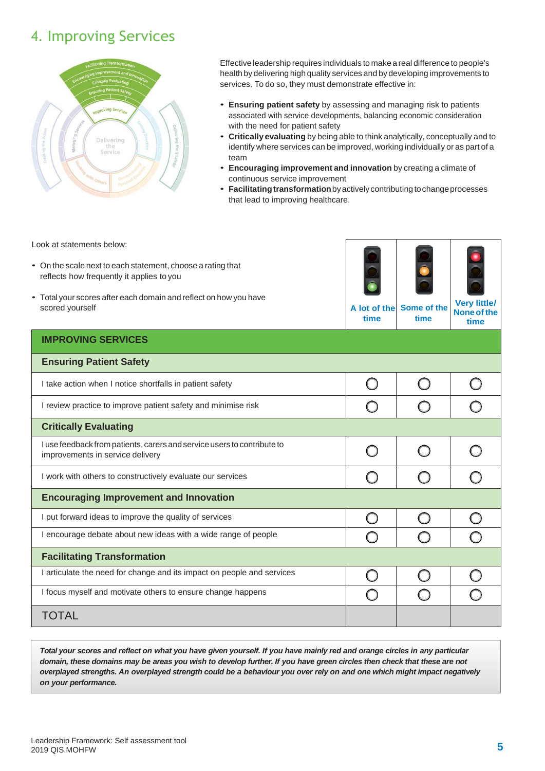### 4. Improving Services



Effective leadership requires individuals to make a real difference to people's health by delivering high quality services and by developing improvements to services. To do so, they must demonstrate effective in:

- **Ensuring patient safety** by assessing and managing risk to patients associated with service developments, balancing economic consideration with the need for patient safety
- **Critically evaluating** by being able to think analytically, conceptually and to identify where services can be improved, working individually or as part of a team
- **Encouraging improvement and innovation** by creating a climate of continuous service improvement
- **Facilitatingtransformation**byactivelycontributing tochangeprocesses that lead to improving healthcare.

Look at statements below:

- On the scale next to each statement, choose a rating that reflects how frequently it applies to you
- Total your scores after each domain and reflect on how you have scored yourself **A** lot of the **A** lot of the **A** lot of the **A** lot of the **A** lot of the **A** lot of the **A** lot of the **A**



**time Some of the time**

**None of the time**

#### **IMPROVING SERVICES**

| <b>Ensuring Patient Safety</b>                                                                              |  |  |
|-------------------------------------------------------------------------------------------------------------|--|--|
| I take action when I notice shortfalls in patient safety                                                    |  |  |
| I review practice to improve patient safety and minimise risk                                               |  |  |
| <b>Critically Evaluating</b>                                                                                |  |  |
| I use feedback from patients, carers and service users to contribute to<br>improvements in service delivery |  |  |
| I work with others to constructively evaluate our services                                                  |  |  |
| <b>Encouraging Improvement and Innovation</b>                                                               |  |  |
| I put forward ideas to improve the quality of services                                                      |  |  |
| I encourage debate about new ideas with a wide range of people                                              |  |  |
| <b>Facilitating Transformation</b>                                                                          |  |  |
| I articulate the need for change and its impact on people and services                                      |  |  |
| I focus myself and motivate others to ensure change happens                                                 |  |  |
| <b>TOTAL</b>                                                                                                |  |  |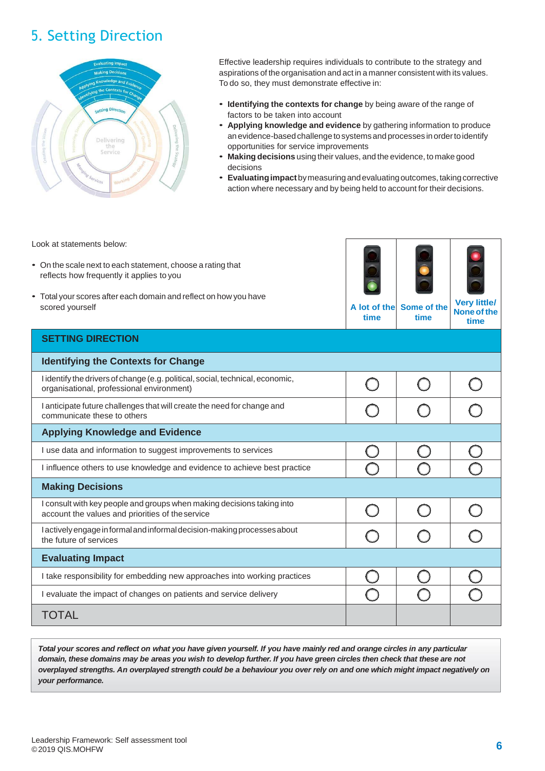## 5. Setting Direction



Effective leadership requires individuals to contribute to the strategy and aspirations of the organisation and act in a manner consistent with its values. To do so, they must demonstrate effective in:

- **Identifying the contexts for change** by being aware of the range of factors to be taken into account
- **Applying knowledge and evidence** by gathering information to produce anevidence-basedchallenge tosystemsandprocesses inordertoidentify opportunities for service improvements
- **Making decisions** using their values, and the evidence, to make good decisions
- **Evaluatingimpact**bymeasuring andevaluatingoutcomes,takingcorrective action where necessary and by being held to account for their decisions.

Look at statements below:

- On the scale next to each statement, choose a rating that reflects how frequently it applies to you
- Total your scores after each domain and reflect on how you have scored yourself **A** lot of the **A** lot of the **A** lot of the **A** lot of the **A** lot of the **A**



**time Some of the time**

**Very little/ Noneofthe time**

#### **SETTING DIRECTION**

| <b>Identifying the Contexts for Change</b>                                                                                  |  |  |
|-----------------------------------------------------------------------------------------------------------------------------|--|--|
| I identify the drivers of change (e.g. political, social, technical, economic,<br>organisational, professional environment) |  |  |
| I anticipate future challenges that will create the need for change and<br>communicate these to others                      |  |  |
| <b>Applying Knowledge and Evidence</b>                                                                                      |  |  |
| I use data and information to suggest improvements to services                                                              |  |  |
| I influence others to use knowledge and evidence to achieve best practice                                                   |  |  |
| <b>Making Decisions</b>                                                                                                     |  |  |
| I consult with key people and groups when making decisions taking into<br>account the values and priorities of the service  |  |  |
| l actively engage in formal and informal decision-making processes about<br>the future of services                          |  |  |
| <b>Evaluating Impact</b>                                                                                                    |  |  |
| I take responsibility for embedding new approaches into working practices                                                   |  |  |
| I evaluate the impact of changes on patients and service delivery                                                           |  |  |
| TOTAL                                                                                                                       |  |  |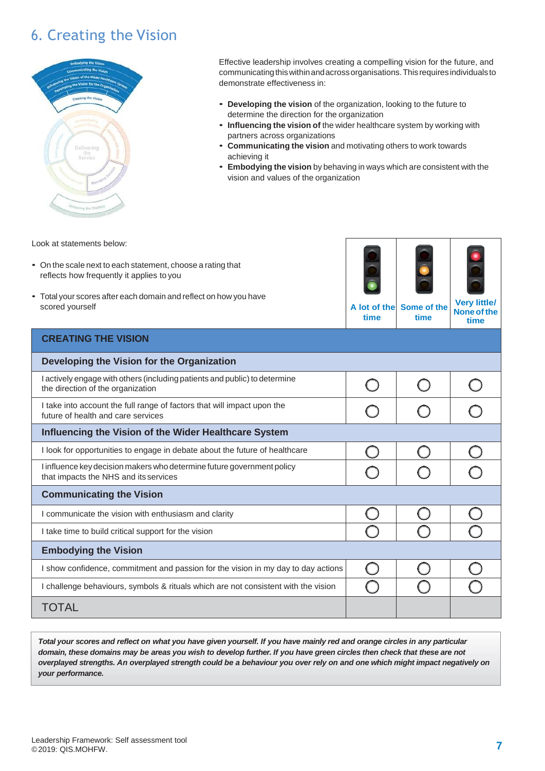## 6. Creating the Vision



Effective leadership involves creating a compelling vision for the future, and communicatingthiswithinandacrossorganisations.Thisrequiresindividualsto demonstrate effectiveness in:

- **Developing the vision** of the organization, looking to the future to determine the direction for the organization
- **Influencing the vision of** the wider healthcare system by working with partners across organizations
- **Communicating the vision** and motivating others to work towards achieving it
- **Embodying the vision** by behaving in ways which are consistent with the vision and values of the organization

**time**

Look at statements below:

- On the scale next to each statement, choose a rating that reflects how frequently it applies to you
- Total your scores after each domain and reflect on how you have scored yourself **A** lot of the **A** lot of the **A** lot of the **A**



**time**

**Noneofthe time**

|  | <b>CREATING THE VISION</b> |  |
|--|----------------------------|--|
|  |                            |  |

| Developing the Vision for the Organization                                                                      |  |  |
|-----------------------------------------------------------------------------------------------------------------|--|--|
| I actively engage with others (including patients and public) to determine<br>the direction of the organization |  |  |
| I take into account the full range of factors that will impact upon the<br>future of health and care services   |  |  |
| Influencing the Vision of the Wider Healthcare System                                                           |  |  |
| I look for opportunities to engage in debate about the future of healthcare                                     |  |  |
| I influence key decision makers who determine future government policy<br>that impacts the NHS and its services |  |  |
| <b>Communicating the Vision</b>                                                                                 |  |  |
| I communicate the vision with enthusiasm and clarity                                                            |  |  |
| I take time to build critical support for the vision                                                            |  |  |
| <b>Embodying the Vision</b>                                                                                     |  |  |
| I show confidence, commitment and passion for the vision in my day to day actions                               |  |  |
| I challenge behaviours, symbols & rituals which are not consistent with the vision                              |  |  |
| TOTAL                                                                                                           |  |  |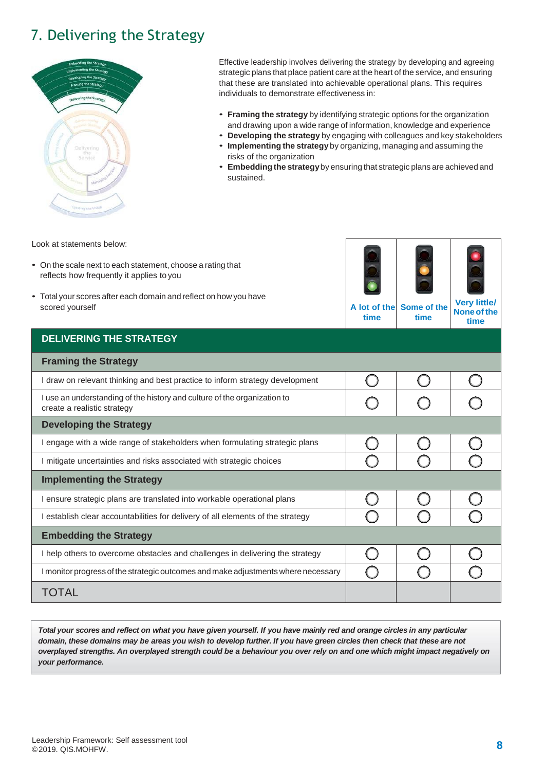## 7. Delivering the Strategy



Effective leadership involves delivering the strategy by developing and agreeing strategic plans that place patient care at the heart of the service, and ensuring that these are translated into achievable operational plans. This requires individuals to demonstrate effectiveness in:

- **Framing the strategy** by identifying strategic options for the organization and drawing upon a wide range of information, knowledge and experience
- **Developing the strategy** by engaging with colleagues and key stakeholders
- **Implementing the strategy** by organizing, managing and assuming the risks of the organization
- **Embedding the strategy**by ensuring that strategic plans are achieved and sustained.

Look at statements below:

- On the scale next to each statement, choose a rating that reflects how frequently it applies to you
- Total your scores after each domain and reflect on how you have scored yourself **A lot of the**



**time Some of the time**

| time | <b>Very little/</b><br>e of the None of the<br>time |
|------|-----------------------------------------------------|
|      |                                                     |

| <b>DELIVERING THE STRATEGY</b>                                                                          |  |  |
|---------------------------------------------------------------------------------------------------------|--|--|
| <b>Framing the Strategy</b>                                                                             |  |  |
| I draw on relevant thinking and best practice to inform strategy development                            |  |  |
| I use an understanding of the history and culture of the organization to<br>create a realistic strategy |  |  |
| <b>Developing the Strategy</b>                                                                          |  |  |
| I engage with a wide range of stakeholders when formulating strategic plans                             |  |  |
| I mitigate uncertainties and risks associated with strategic choices                                    |  |  |
| <b>Implementing the Strategy</b>                                                                        |  |  |
| I ensure strategic plans are translated into workable operational plans                                 |  |  |
| I establish clear accountabilities for delivery of all elements of the strategy                         |  |  |
| <b>Embedding the Strategy</b>                                                                           |  |  |
| I help others to overcome obstacles and challenges in delivering the strategy                           |  |  |
| I monitor progress of the strategic outcomes and make adjustments where necessary                       |  |  |
| TOTAL                                                                                                   |  |  |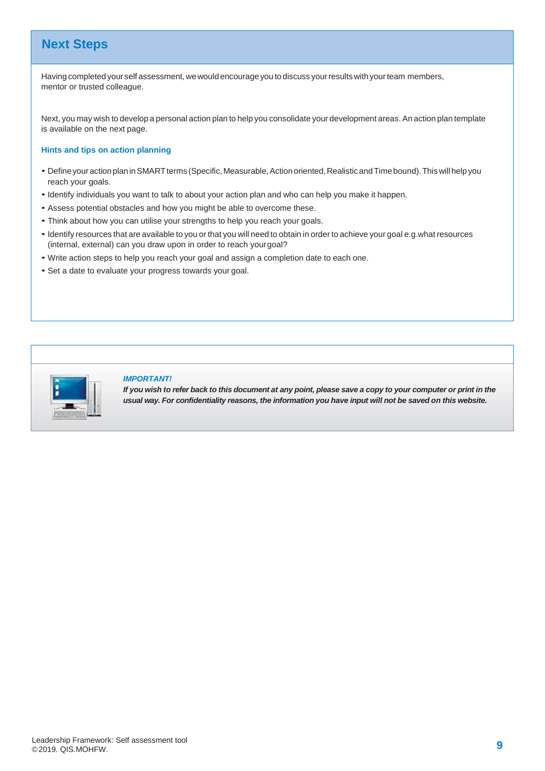### **Next Steps**

Having completed your self assessment, we would encourage you to discuss your results with your team members, mentor or trusted colleague.

Next, you may wish to develop a personal action plan to help you consolidate your development areas. An action plan template is available on the next page.

#### **Hints and tips on action planning**

- DefineyouractionplaninSMARTterms (Specific,Measurable,Action oriented,RealisticandTimebound).Thiswillhelp you reach your goals.
- Identify individuals you want to talk to about your action plan and who can help you make it happen.
- Assess potential obstacles and how you might be able to overcome these.
- Think about how you can utilise your strengths to help you reach your goals.
- Identify resources that are available to you or that you will need to obtain in order to achieve your goal e.g.what resources (internal, external) can you draw upon in order to reach yourgoal?
- Write action steps to help you reach your goal and assign a completion date to each one.
- Set a date to evaluate your progress towards your goal.



#### *IMPORTANT!*

If you wish to refer back to this document at any point, please save a copy to your computer or print in the *usual way. For confidentiality reasons, the information you have input will not be saved on this website.*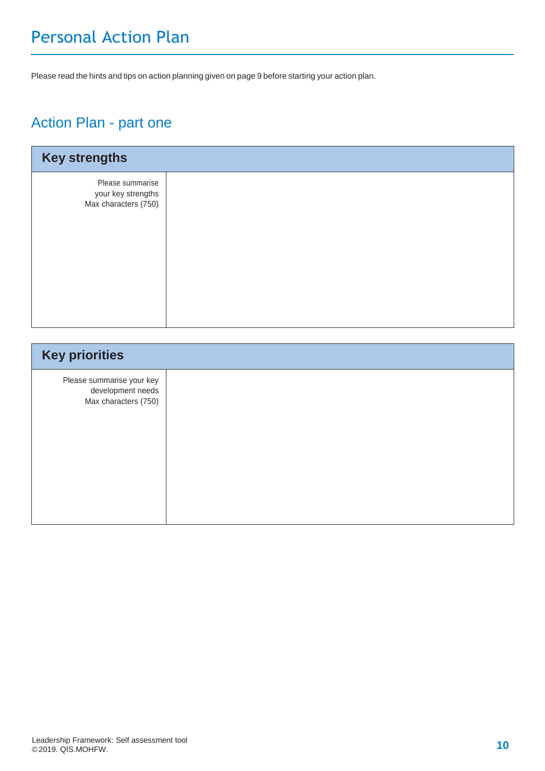# Personal Action Plan

Please read the hints and tips on action planning given on page 9 before starting your action plan.

### Action Plan - part one

| <b>Key strengths</b>                                           |  |
|----------------------------------------------------------------|--|
| Please summarise<br>your key strengths<br>Max characters (750) |  |

| <b>Key priorities</b>                                                  |  |
|------------------------------------------------------------------------|--|
| Please summarise your key<br>development needs<br>Max characters (750) |  |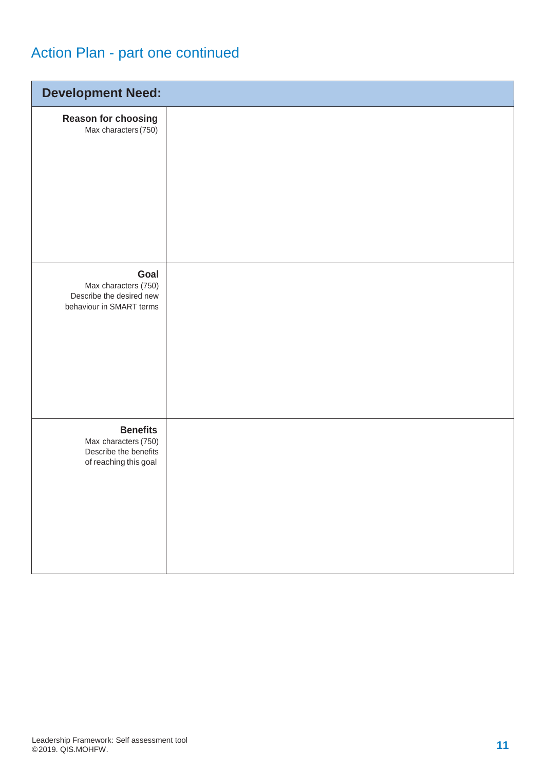# Action Plan - part one continued

| <b>Development Need:</b>                                                                  |  |
|-------------------------------------------------------------------------------------------|--|
| Reason for choosing<br>Max characters (750)                                               |  |
| Goal<br>Max characters (750)<br>Describe the desired new<br>behaviour in SMART terms      |  |
| <b>Benefits</b><br>Max characters (750)<br>Describe the benefits<br>of reaching this goal |  |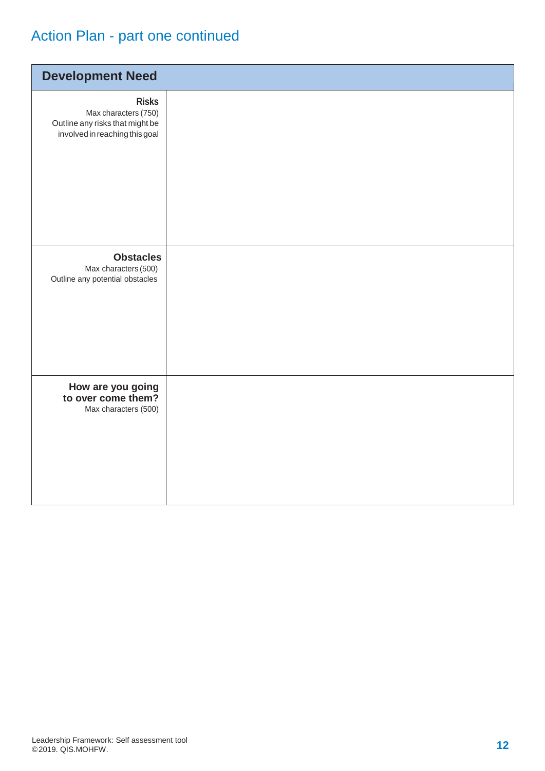# Action Plan - part one continued

| <b>Development Need</b>                                                                                   |  |
|-----------------------------------------------------------------------------------------------------------|--|
| <b>Risks</b><br>Max characters (750)<br>Outline any risks that might be<br>involved in reaching this goal |  |
| <b>Obstacles</b><br>Max characters (500)<br>Outline any potential obstacles                               |  |
| How are you going<br>to over come them?<br>Max characters (500)                                           |  |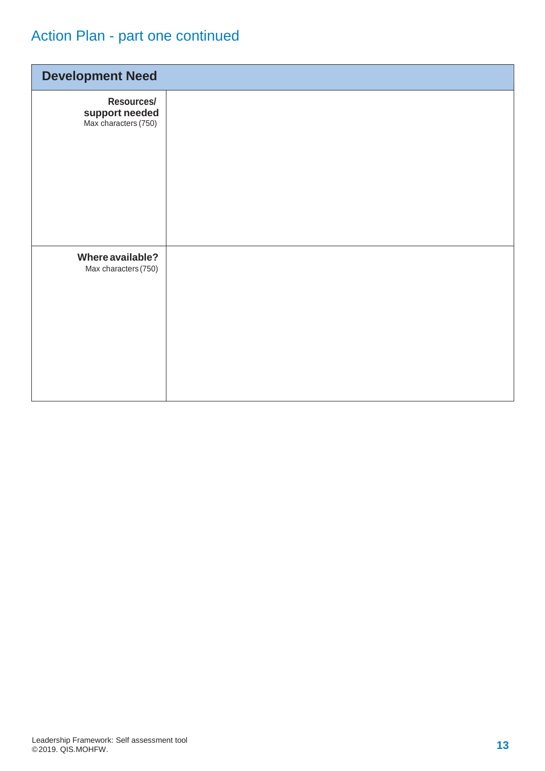# Action Plan - part one continued

| <b>Development Need</b>                              |  |
|------------------------------------------------------|--|
| Resources/<br>support needed<br>Max characters (750) |  |
| Where available?<br>Max characters (750)             |  |